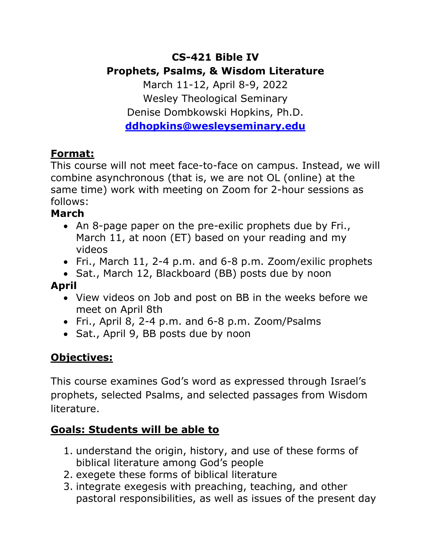# **CS-421 Bible IV Prophets, Psalms, & Wisdom Literature**

March 11-12, April 8-9, 2022 Wesley Theological Seminary Denise Dombkowski Hopkins, Ph.D. **ddhopkins@wesleyseminary.edu**

#### **Format:**

This course will not meet face-to-face on campus. Instead, we will combine asynchronous (that is, we are not OL (online) at the same time) work with meeting on Zoom for 2-hour sessions as follows:

#### **March**

- An 8-page paper on the pre-exilic prophets due by Fri., March 11, at noon (ET) based on your reading and my videos
- Fri., March 11, 2-4 p.m. and 6-8 p.m. Zoom/exilic prophets
- Sat., March 12, Blackboard (BB) posts due by noon

## **April**

- View videos on Job and post on BB in the weeks before we meet on April 8th
- Fri., April 8, 2-4 p.m. and 6-8 p.m. Zoom/Psalms
- Sat., April 9, BB posts due by noon

# **Objectives:**

This course examines God's word as expressed through Israel's prophets, selected Psalms, and selected passages from Wisdom literature.

#### **Goals: Students will be able to**

- 1. understand the origin, history, and use of these forms of biblical literature among God's people
- 2. exegete these forms of biblical literature
- 3. integrate exegesis with preaching, teaching, and other pastoral responsibilities, as well as issues of the present day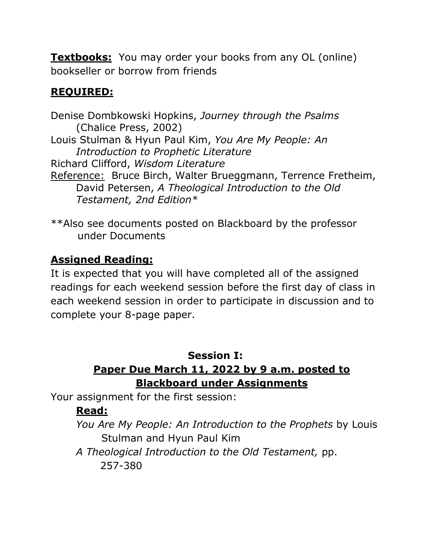**Textbooks:** You may order your books from any OL (online) bookseller or borrow from friends

## **REQUIRED:**

Denise Dombkowski Hopkins, *Journey through the Psalms* (Chalice Press, 2002) Louis Stulman & Hyun Paul Kim, *You Are My People: An Introduction to Prophetic Literature* Richard Clifford, *Wisdom Literature* Reference: Bruce Birch, Walter Brueggmann, Terrence Fretheim, David Petersen, *A Theological Introduction to the Old Testament, 2nd Edition\**

\*\*Also see documents posted on Blackboard by the professor under Documents

### **Assigned Reading:**

It is expected that you will have completed all of the assigned readings for each weekend session before the first day of class in each weekend session in order to participate in discussion and to complete your 8-page paper.

#### **Session I:**

## **Paper Due March 11, 2022 by 9 a.m. posted to Blackboard under Assignments**

Your assignment for the first session:

## **Read:**

*You Are My People: An Introduction to the Prophets* by Louis Stulman and Hyun Paul Kim

*A Theological Introduction to the Old Testament,* pp. 257-380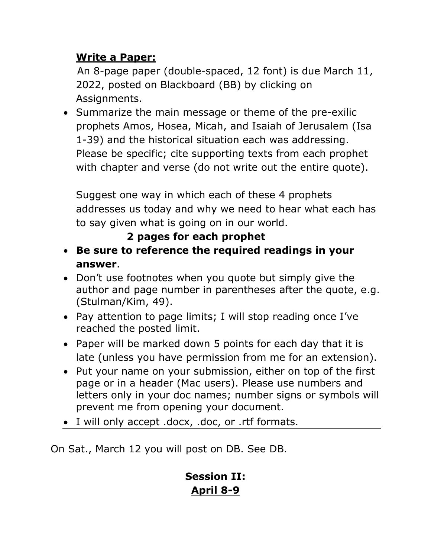### **Write a Paper:**

An 8-page paper (double-spaced, 12 font) is due March 11, 2022, posted on Blackboard (BB) by clicking on Assignments.

• Summarize the main message or theme of the pre-exilic prophets Amos, Hosea, Micah, and Isaiah of Jerusalem (Isa 1-39) and the historical situation each was addressing. Please be specific; cite supporting texts from each prophet with chapter and verse (do not write out the entire quote).

Suggest one way in which each of these 4 prophets addresses us today and why we need to hear what each has to say given what is going on in our world.

## **2 pages for each prophet**

- **Be sure to reference the required readings in your answer**.
- Don't use footnotes when you quote but simply give the author and page number in parentheses after the quote, e.g. (Stulman/Kim, 49).
- Pay attention to page limits; I will stop reading once I've reached the posted limit.
- Paper will be marked down 5 points for each day that it is late (unless you have permission from me for an extension).
- Put your name on your submission, either on top of the first page or in a header (Mac users). Please use numbers and letters only in your doc names; number signs or symbols will prevent me from opening your document.
- I will only accept .docx, .doc, or .rtf formats.

On Sat., March 12 you will post on DB. See DB.

## **Session II: April 8-9**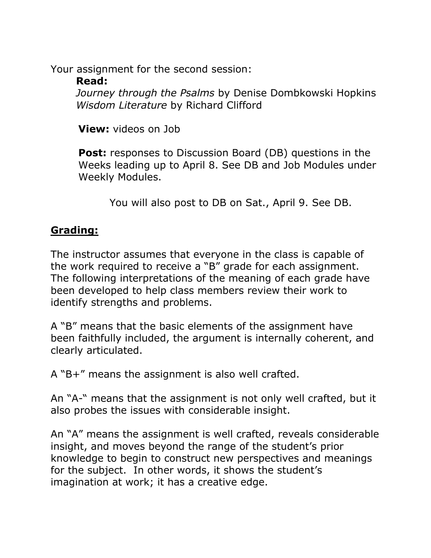Your assignment for the second session: **Read:**

*Journey through the Psalms* by Denise Dombkowski Hopkins *Wisdom Literature* by Richard Clifford

**View:** videos on Job

**Post:** responses to Discussion Board (DB) questions in the Weeks leading up to April 8. See DB and Job Modules under Weekly Modules.

You will also post to DB on Sat., April 9. See DB.

#### **Grading:**

The instructor assumes that everyone in the class is capable of the work required to receive a "B" grade for each assignment. The following interpretations of the meaning of each grade have been developed to help class members review their work to identify strengths and problems.

A "B" means that the basic elements of the assignment have been faithfully included, the argument is internally coherent, and clearly articulated.

A "B+" means the assignment is also well crafted.

An "A-" means that the assignment is not only well crafted, but it also probes the issues with considerable insight.

An "A" means the assignment is well crafted, reveals considerable insight, and moves beyond the range of the student's prior knowledge to begin to construct new perspectives and meanings for the subject. In other words, it shows the student's imagination at work; it has a creative edge.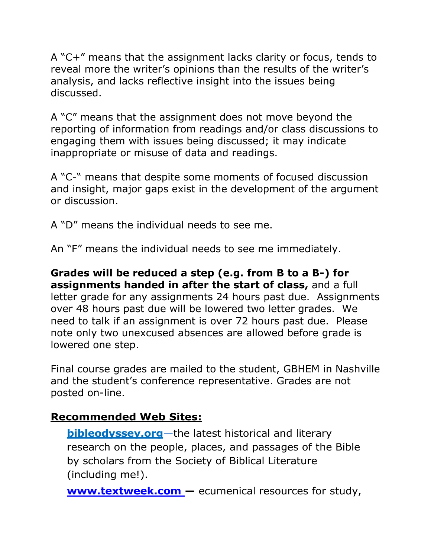A "C+" means that the assignment lacks clarity or focus, tends to reveal more the writer's opinions than the results of the writer's analysis, and lacks reflective insight into the issues being discussed.

A "C" means that the assignment does not move beyond the reporting of information from readings and/or class discussions to engaging them with issues being discussed; it may indicate inappropriate or misuse of data and readings.

A "C-" means that despite some moments of focused discussion and insight, major gaps exist in the development of the argument or discussion.

A "D" means the individual needs to see me.

An "F" means the individual needs to see me immediately.

**Grades will be reduced a step (e.g. from B to a B-) for assignments handed in after the start of class,** and a full letter grade for any assignments 24 hours past due. Assignments over 48 hours past due will be lowered two letter grades. We need to talk if an assignment is over 72 hours past due. Please note only two unexcused absences are allowed before grade is lowered one step.

Final course grades are mailed to the student, GBHEM in Nashville and the student's conference representative. Grades are not posted on-line.

#### **Recommended Web Sites:**

**bibleodyssey.org**—the latest historical and literary research on the people, places, and passages of the Bible by scholars from the Society of Biblical Literature (including me!).

**www.textweek.com —** ecumenical resources for study,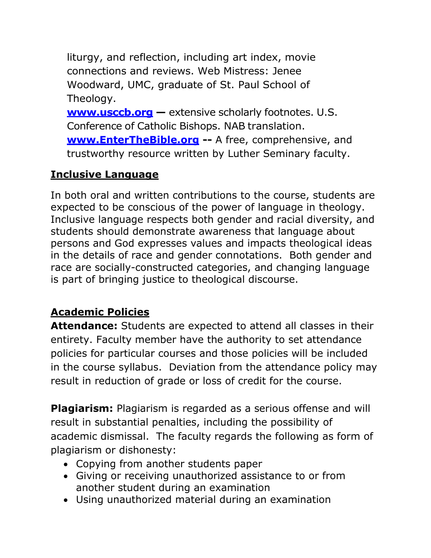liturgy, and reflection, including art index, movie connections and reviews. Web Mistress: Jenee Woodward, UMC, graduate of St. Paul School of Theology.

**www.usccb.org —** extensive scholarly footnotes. U.S. Conference of Catholic Bishops. NAB translation. **www.EnterTheBible.org --** A free, comprehensive, and trustworthy resource written by Luther Seminary faculty.

### **Inclusive Language**

In both oral and written contributions to the course, students are expected to be conscious of the power of language in theology. Inclusive language respects both gender and racial diversity, and students should demonstrate awareness that language about persons and God expresses values and impacts theological ideas in the details of race and gender connotations. Both gender and race are socially-constructed categories, and changing language is part of bringing justice to theological discourse.

## **Academic Policies**

**Attendance:** Students are expected to attend all classes in their entirety. Faculty member have the authority to set attendance policies for particular courses and those policies will be included in the course syllabus. Deviation from the attendance policy may result in reduction of grade or loss of credit for the course.

**Plagiarism:** Plagiarism is regarded as a serious offense and will result in substantial penalties, including the possibility of academic dismissal. The faculty regards the following as form of plagiarism or dishonesty:

- Copying from another students paper
- Giving or receiving unauthorized assistance to or from another student during an examination
- Using unauthorized material during an examination